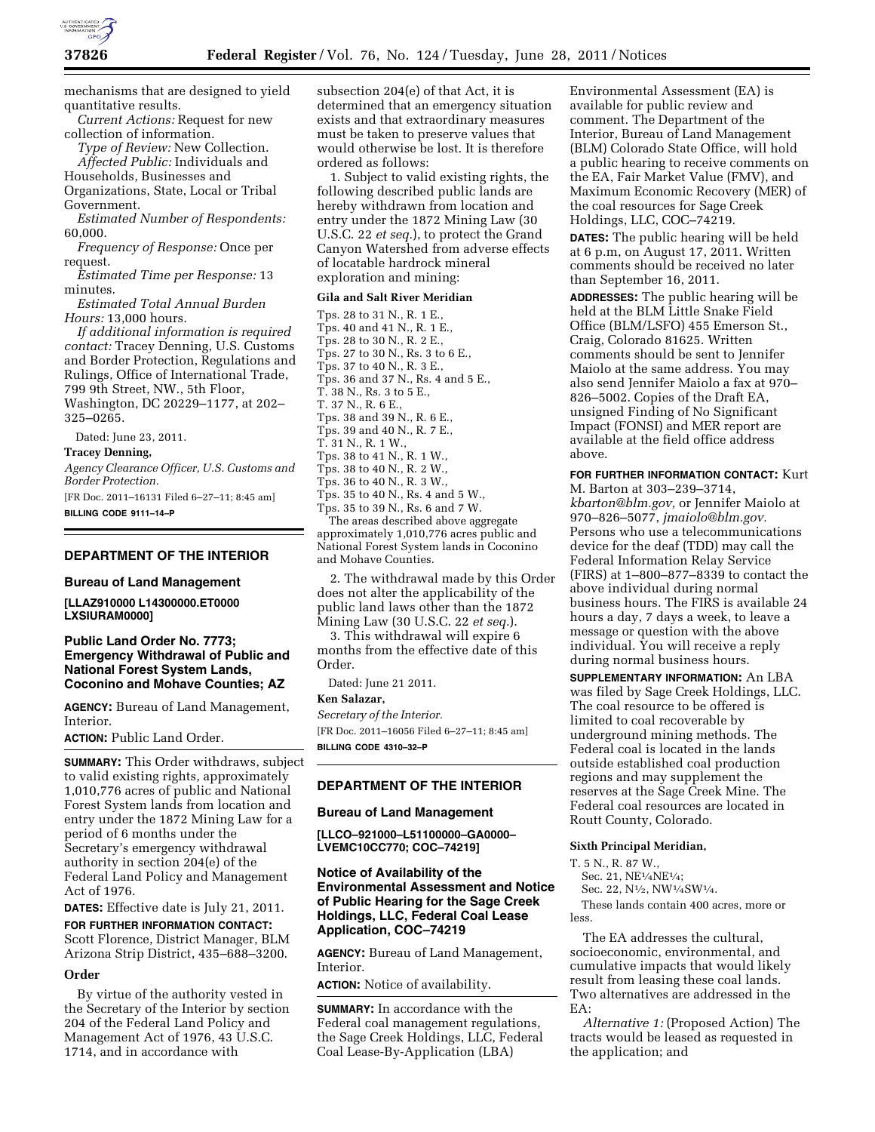

mechanisms that are designed to yield quantitative results.

*Current Actions:* Request for new collection of information.

*Type of Review:* New Collection. *Affected Public:* Individuals and

Households, Businesses and

Organizations, State, Local or Tribal Government.

*Estimated Number of Respondents:*  60,000.

*Frequency of Response:* Once per request.

*Estimated Time per Response:* 13 minutes.

*Estimated Total Annual Burden Hours:* 13,000 hours.

*If additional information is required contact:* Tracey Denning, U.S. Customs and Border Protection, Regulations and Rulings, Office of International Trade, 799 9th Street, NW., 5th Floor, Washington, DC 20229–1177, at 202– 325–0265.

Dated: June 23, 2011.

#### **Tracey Denning,**

*Agency Clearance Officer, U.S. Customs and Border Protection.* 

[FR Doc. 2011–16131 Filed 6–27–11; 8:45 am] **BILLING CODE 9111–14–P** 

### **DEPARTMENT OF THE INTERIOR**

### **Bureau of Land Management**

**[LLAZ910000 L14300000.ET0000 LXSIURAM0000]** 

## **Public Land Order No. 7773; Emergency Withdrawal of Public and National Forest System Lands, Coconino and Mohave Counties; AZ**

**AGENCY:** Bureau of Land Management, Interior.

**ACTION:** Public Land Order.

**SUMMARY:** This Order withdraws, subject to valid existing rights, approximately 1,010,776 acres of public and National Forest System lands from location and entry under the 1872 Mining Law for a period of 6 months under the Secretary's emergency withdrawal authority in section 204(e) of the Federal Land Policy and Management Act of 1976.

**DATES:** Effective date is July 21, 2011.

**FOR FURTHER INFORMATION CONTACT:**  Scott Florence, District Manager, BLM Arizona Strip District, 435–688–3200.

## **Order**

By virtue of the authority vested in the Secretary of the Interior by section 204 of the Federal Land Policy and Management Act of 1976, 43 U.S.C. 1714, and in accordance with

subsection 204(e) of that Act, it is determined that an emergency situation exists and that extraordinary measures must be taken to preserve values that would otherwise be lost. It is therefore ordered as follows:

1. Subject to valid existing rights, the following described public lands are hereby withdrawn from location and entry under the 1872 Mining Law (30 U.S.C. 22 *et seq.*), to protect the Grand Canyon Watershed from adverse effects of locatable hardrock mineral exploration and mining:

## **Gila and Salt River Meridian**

Tps. 28 to 31 N., R. 1 E., Tps. 40 and 41 N., R. 1 E., Tps. 28 to 30 N., R. 2 E., Tps. 27 to 30 N., Rs. 3 to 6 E., Tps. 37 to 40 N., R. 3 E., Tps. 36 and 37 N., Rs. 4 and 5 E., T. 38 N., Rs. 3 to 5 E., T. 37 N., R. 6 E., Tps. 38 and 39 N., R. 6 E., Tps. 39 and 40 N., R. 7 E., T. 31 N., R. 1 W., Tps. 38 to 41 N., R. 1 W., Tps. 38 to 40 N., R. 2 W., Tps. 36 to 40 N., R. 3 W.,  $T_{DS.}$  35 to 40 N., Rs. 4 and 5 W., Tps. 35 to 39 N., Rs. 6 and 7 W. The areas described above aggregate approximately 1,010,776 acres public and National Forest System lands in Coconino and Mohave Counties.

2. The withdrawal made by this Order does not alter the applicability of the public land laws other than the 1872 Mining Law (30 U.S.C. 22 *et seq.*).

3. This withdrawal will expire 6 months from the effective date of this Order.

Dated: June 21 2011.

### **Ken Salazar,**

*Secretary of the Interior.*  [FR Doc. 2011–16056 Filed 6–27–11; 8:45 am] **BILLING CODE 4310–32–P** 

# **DEPARTMENT OF THE INTERIOR**

### **Bureau of Land Management**

**[LLCO–921000–L51100000–GA0000– LVEMC10CC770; COC–74219]** 

# **Notice of Availability of the Environmental Assessment and Notice of Public Hearing for the Sage Creek Holdings, LLC, Federal Coal Lease Application, COC–74219**

**AGENCY:** Bureau of Land Management, Interior.

**ACTION:** Notice of availability.

**SUMMARY:** In accordance with the Federal coal management regulations, the Sage Creek Holdings, LLC, Federal Coal Lease-By-Application (LBA)

Environmental Assessment (EA) is available for public review and comment. The Department of the Interior, Bureau of Land Management (BLM) Colorado State Office, will hold a public hearing to receive comments on the EA, Fair Market Value (FMV), and Maximum Economic Recovery (MER) of the coal resources for Sage Creek Holdings, LLC, COC–74219.

**DATES:** The public hearing will be held at 6 p.m, on August 17, 2011. Written comments should be received no later than September 16, 2011.

**ADDRESSES:** The public hearing will be held at the BLM Little Snake Field Office (BLM/LSFO) 455 Emerson St., Craig, Colorado 81625. Written comments should be sent to Jennifer Maiolo at the same address. You may also send Jennifer Maiolo a fax at 970– 826–5002. Copies of the Draft EA, unsigned Finding of No Significant Impact (FONSI) and MER report are available at the field office address above.

**FOR FURTHER INFORMATION CONTACT:** Kurt M. Barton at 303–239–3714, *[kbarton@blm.gov,](mailto:kbarton@blm.gov)* or Jennifer Maiolo at 970–826–5077, *[jmaiolo@blm.gov.](mailto:jmaiolo@blm.gov)*  Persons who use a telecommunications device for the deaf (TDD) may call the Federal Information Relay Service (FIRS) at 1–800–877–8339 to contact the above individual during normal business hours. The FIRS is available 24 hours a day, 7 days a week, to leave a message or question with the above individual. You will receive a reply during normal business hours.

**SUPPLEMENTARY INFORMATION:** An LBA was filed by Sage Creek Holdings, LLC. The coal resource to be offered is limited to coal recoverable by underground mining methods. The Federal coal is located in the lands outside established coal production regions and may supplement the reserves at the Sage Creek Mine. The Federal coal resources are located in Routt County, Colorado.

### **Sixth Principal Meridian,**

T. 5 N., R. 87 W.,

Sec. 21, NE1⁄4NE1⁄4;

Sec. 22, N1⁄2, NW1⁄4SW1⁄4.

These lands contain 400 acres, more or less.

The EA addresses the cultural, socioeconomic, environmental, and cumulative impacts that would likely result from leasing these coal lands. Two alternatives are addressed in the EA:

*Alternative 1:* (Proposed Action) The tracts would be leased as requested in the application; and